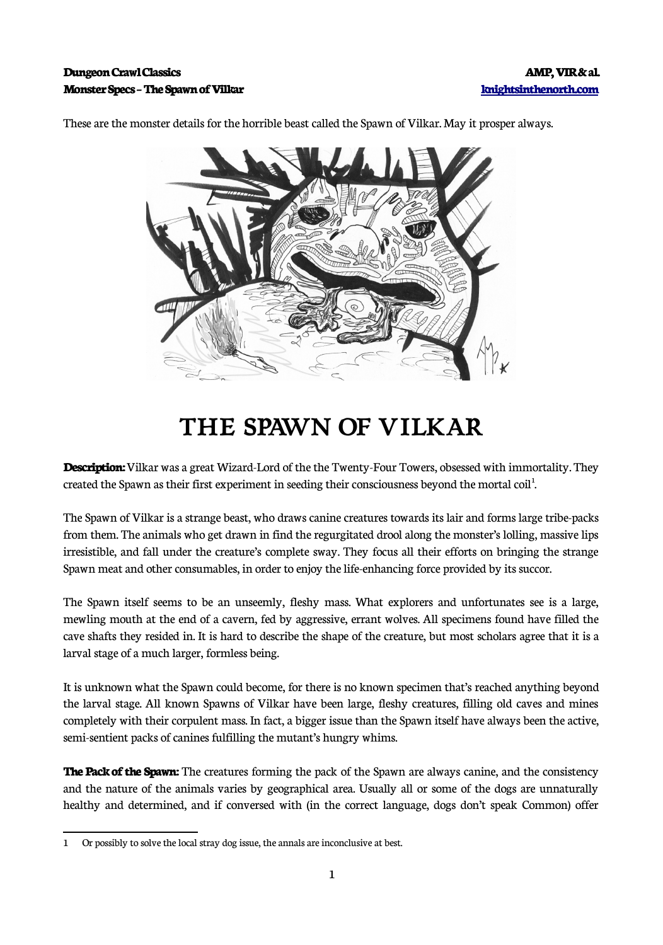## **Dungeon Crawl Classics AMP, VIR & al. Monster Specs – The Spawn of Vilkar [knightsinthenorth.com](http://knightsinthenorth.com/)**

These are the monster details for the horrible beast called the Spawn of Vilkar. May it prosper always.

## **THE SPAWN OF VILKAR**

**Description:** Vilkar was a great Wizard-Lord of the the Twenty-Four Towers, obsessed with immortality. They created the Spawn as their first experiment in seeding their consciousness beyond the mortal coil<sup>[1](#page-0-0)</sup>. .<br>.

The Spawn of Vilkar is a strange beast, who draws canine creatures towards its lair and forms large tribe-packs from them. The animals who get drawn in find the regurgitated drool along the monster's lolling, massive lips irresistible, and fall under the creature's complete sway. They focus all their efforts on bringing the strange Spawn meat and other consumables, in order to enjoy the life-enhancing force provided by its succor.

The Spawn itself seems to be an unseemly, fleshy mass. What explorers and unfortunates see is a large, mewling mouth at the end of a cavern, fed by aggressive, errant wolves. All specimens found have filled the cave shafts they resided in. It is hard to describe the shape of the creature, but most scholars agree that it is a larval stage of a much larger, formless being.

It is unknown what the Spawn could become, for there is no known specimen that's reached anything beyond the larval stage. All known Spawns of Vilkar have been large, fleshy creatures, filling old caves and mines completely with their corpulent mass. In fact, a bigger issue than the Spawn itself have always been the active, semi-sentient packs of canines fulfilling the mutant's hungry whims.

**The Pack of the Spawn:** The creatures forming the pack of the Spawn are always canine, and the consistency and the nature of the animals varies by geographical area. Usually all or some of the dogs are unnaturally healthy and determined, and if conversed with (in the correct language, dogs don't speak Common) offer

<span id="page-0-0"></span><sup>1</sup> Or possibly to solve the local stray dog issue, the annals are inconclusive at best.